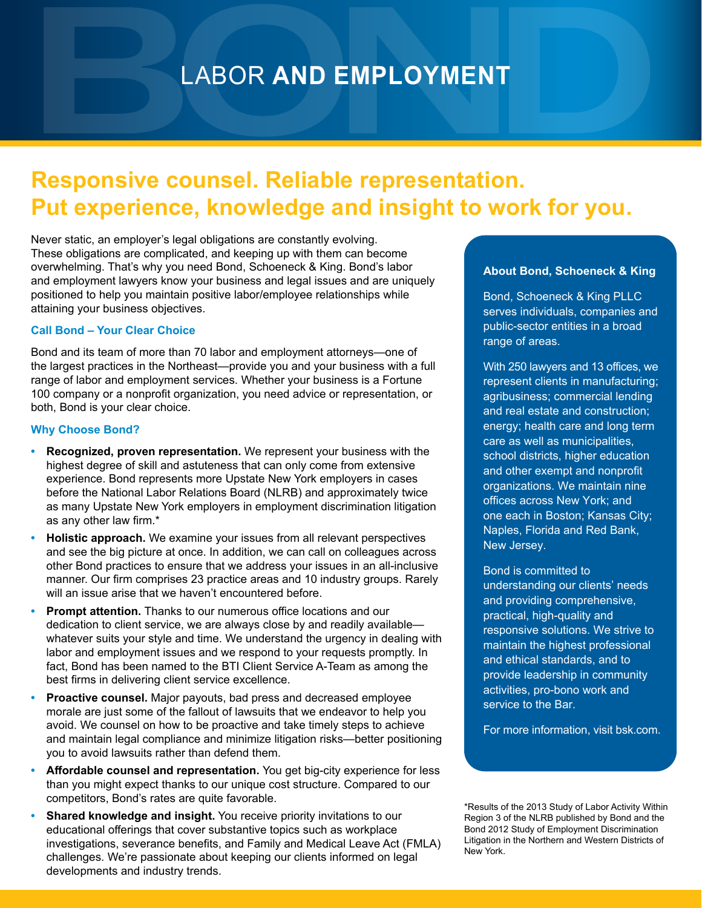# LABOR **AND EMPLOYMENT**

## **Responsive counsel. Reliable representation. Put experience, knowledge and insight to work for you.**

Never static, an employer's legal obligations are constantly evolving. These obligations are complicated, and keeping up with them can become overwhelming. That's why you need Bond, Schoeneck & King. Bond's labor and employment lawyers know your business and legal issues and are uniquely positioned to help you maintain positive labor/employee relationships while attaining your business objectives.

## **Call Bond – Your Clear Choice**

Bond and its team of more than 70 labor and employment attorneys—one of the largest practices in the Northeast—provide you and your business with a full range of labor and employment services. Whether your business is a Fortune 100 company or a nonprofit organization, you need advice or representation, or both, Bond is your clear choice.

## **Why Choose Bond?**

- **• Recognized, proven representation.** We represent your business with the highest degree of skill and astuteness that can only come from extensive experience. Bond represents more Upstate New York employers in cases before the National Labor Relations Board (NLRB) and approximately twice as many Upstate New York employers in employment discrimination litigation as any other law firm.\*
- **• Holistic approach.** We examine your issues from all relevant perspectives and see the big picture at once. In addition, we can call on colleagues across other Bond practices to ensure that we address your issues in an all-inclusive manner. Our firm comprises 23 practice areas and 10 industry groups. Rarely will an issue arise that we haven't encountered before.
- **• Prompt attention.** Thanks to our numerous office locations and our dedication to client service, we are always close by and readily available whatever suits your style and time. We understand the urgency in dealing with labor and employment issues and we respond to your requests promptly. In fact, Bond has been named to the BTI Client Service A-Team as among the best firms in delivering client service excellence.
- **• Proactive counsel.** Major payouts, bad press and decreased employee morale are just some of the fallout of lawsuits that we endeavor to help you avoid. We counsel on how to be proactive and take timely steps to achieve and maintain legal compliance and minimize litigation risks—better positioning you to avoid lawsuits rather than defend them.
- **• Affordable counsel and representation.** You get big-city experience for less than you might expect thanks to our unique cost structure. Compared to our competitors, Bond's rates are quite favorable.
- **Shared knowledge and insight.** You receive priority invitations to our educational offerings that cover substantive topics such as workplace investigations, severance benefits, and Family and Medical Leave Act (FMLA) challenges. We're passionate about keeping our clients informed on legal developments and industry trends.

## **About Bond, Schoeneck & King**

Bond, Schoeneck & King PLLC serves individuals, companies and public-sector entities in a broad range of areas.

With 250 lawyers and 13 offices, we represent clients in manufacturing; agribusiness; commercial lending and real estate and construction; energy; health care and long term care as well as municipalities, school districts, higher education and other exempt and nonprofit organizations. We maintain nine offices across New York; and one each in Boston; Kansas City; Naples, Florida and Red Bank, New Jersey.

Bond is committed to understanding our clients' needs and providing comprehensive, practical, high-quality and responsive solutions. We strive to maintain the highest professional and ethical standards, and to provide leadership in community activities, pro-bono work and service to the Bar.

For more information, visit bsk.com.

\*Results of the 2013 Study of Labor Activity Within Region 3 of the NLRB published by Bond and the Bond 2012 Study of Employment Discrimination Litigation in the Northern and Western Districts of New York.